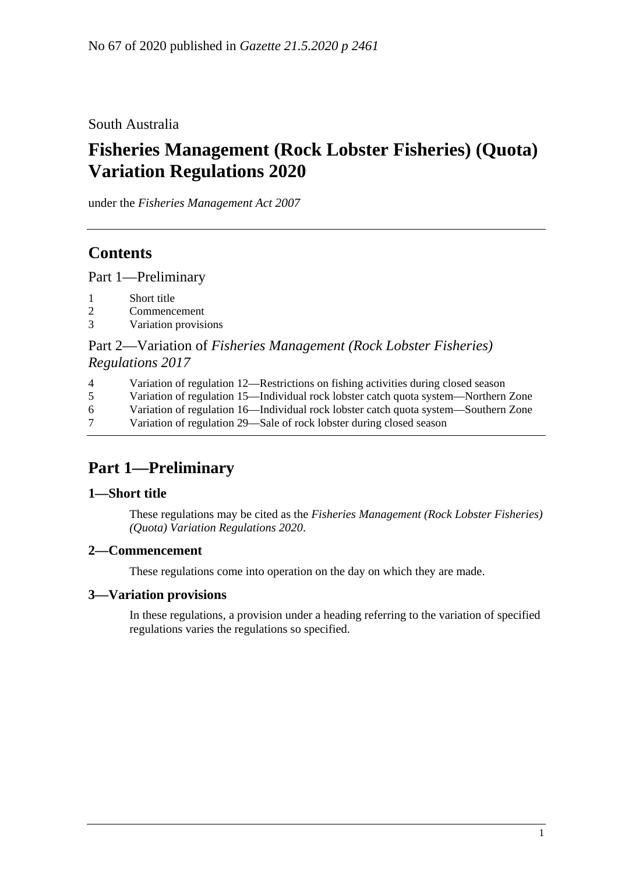### South Australia

# **Fisheries Management (Rock Lobster Fisheries) (Quota) Variation Regulations 2020**

under the *Fisheries Management Act 2007*

## **Contents**

Part [1—Preliminary](#page-0-0)

- 1 [Short title](#page-0-1)
- 2 [Commencement](#page-0-2)
- 3 [Variation provisions](#page-0-3)

#### Part 2—Variation of *[Fisheries Management \(Rock Lobster Fisheries\)](#page-1-0)  [Regulations](#page-1-0) 2017*

- 4 [Variation of regulation 12—Restrictions on fishing activities during closed season](#page-1-1)
- 5 [Variation of regulation 15—Individual rock lobster catch quota system—Northern Zone](#page-1-2)
- 6 [Variation of regulation 16—Individual rock lobster catch quota system—Southern Zone](#page-2-0)
- 7 [Variation of regulation 29—Sale of rock lobster during closed season](#page-2-1)

## <span id="page-0-0"></span>**Part 1—Preliminary**

#### <span id="page-0-1"></span>**1—Short title**

These regulations may be cited as the *Fisheries Management (Rock Lobster Fisheries) (Quota) Variation Regulations 2020*.

#### <span id="page-0-2"></span>**2—Commencement**

These regulations come into operation on the day on which they are made.

#### <span id="page-0-3"></span>**3—Variation provisions**

In these regulations, a provision under a heading referring to the variation of specified regulations varies the regulations so specified.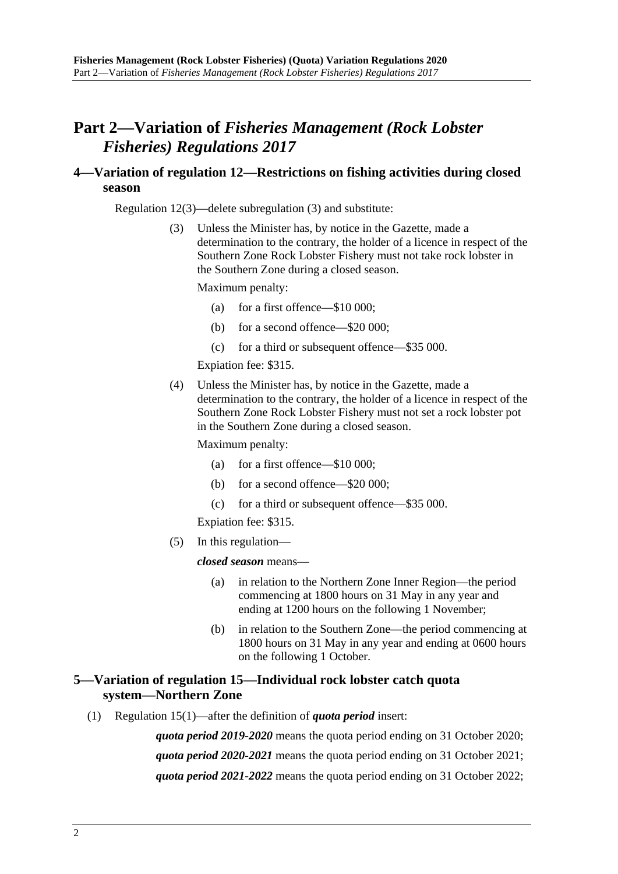### <span id="page-1-0"></span>**Part 2—Variation of** *Fisheries Management (Rock Lobster Fisheries) Regulations 2017*

#### <span id="page-1-1"></span>**4—Variation of regulation 12—Restrictions on fishing activities during closed season**

Regulation 12(3)—delete subregulation (3) and substitute:

(3) Unless the Minister has, by notice in the Gazette, made a determination to the contrary, the holder of a licence in respect of the Southern Zone Rock Lobster Fishery must not take rock lobster in the Southern Zone during a closed season.

Maximum penalty:

- (a) for a first offence—\$10 000;
- (b) for a second offence—\$20 000;
- (c) for a third or subsequent offence—\$35 000.

Expiation fee: \$315.

(4) Unless the Minister has, by notice in the Gazette, made a determination to the contrary, the holder of a licence in respect of the Southern Zone Rock Lobster Fishery must not set a rock lobster pot in the Southern Zone during a closed season.

Maximum penalty:

- (a) for a first offence—\$10 000;
- (b) for a second offence—\$20 000;
- (c) for a third or subsequent offence—\$35 000.

Expiation fee: \$315.

(5) In this regulation—

*closed season* means—

- (a) in relation to the Northern Zone Inner Region—the period commencing at 1800 hours on 31 May in any year and ending at 1200 hours on the following 1 November;
- (b) in relation to the Southern Zone—the period commencing at 1800 hours on 31 May in any year and ending at 0600 hours on the following 1 October.

#### <span id="page-1-2"></span>**5—Variation of regulation 15—Individual rock lobster catch quota system—Northern Zone**

(1) Regulation 15(1)—after the definition of *quota period* insert:

*quota period 2019-2020* means the quota period ending on 31 October 2020; *quota period 2020-2021* means the quota period ending on 31 October 2021; *quota period 2021-2022* means the quota period ending on 31 October 2022;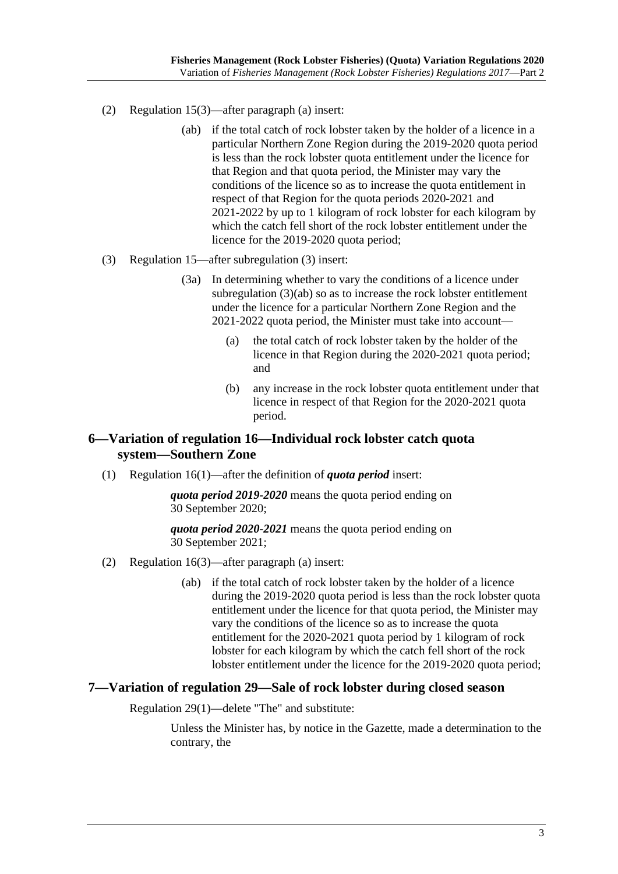- (2) Regulation 15(3)—after paragraph (a) insert:
	- (ab) if the total catch of rock lobster taken by the holder of a licence in a particular Northern Zone Region during the 2019-2020 quota period is less than the rock lobster quota entitlement under the licence for that Region and that quota period, the Minister may vary the conditions of the licence so as to increase the quota entitlement in respect of that Region for the quota periods 2020-2021 and 2021-2022 by up to 1 kilogram of rock lobster for each kilogram by which the catch fell short of the rock lobster entitlement under the licence for the 2019-2020 quota period;
- (3) Regulation 15—after subregulation (3) insert:
	- (3a) In determining whether to vary the conditions of a licence under subregulation (3)(ab) so as to increase the rock lobster entitlement under the licence for a particular Northern Zone Region and the 2021-2022 quota period, the Minister must take into account—
		- (a) the total catch of rock lobster taken by the holder of the licence in that Region during the 2020-2021 quota period; and
		- (b) any increase in the rock lobster quota entitlement under that licence in respect of that Region for the 2020-2021 quota period.

#### <span id="page-2-0"></span>**6—Variation of regulation 16—Individual rock lobster catch quota system—Southern Zone**

(1) Regulation 16(1)—after the definition of *quota period* insert:

*quota period 2019-2020* means the quota period ending on 30 September 2020;

*quota period 2020-2021* means the quota period ending on 30 September 2021;

- (2) Regulation 16(3)—after paragraph (a) insert:
	- (ab) if the total catch of rock lobster taken by the holder of a licence during the 2019-2020 quota period is less than the rock lobster quota entitlement under the licence for that quota period, the Minister may vary the conditions of the licence so as to increase the quota entitlement for the 2020-2021 quota period by 1 kilogram of rock lobster for each kilogram by which the catch fell short of the rock lobster entitlement under the licence for the 2019-2020 quota period;

#### <span id="page-2-1"></span>**7—Variation of regulation 29—Sale of rock lobster during closed season**

Regulation 29(1)—delete "The" and substitute:

Unless the Minister has, by notice in the Gazette, made a determination to the contrary, the